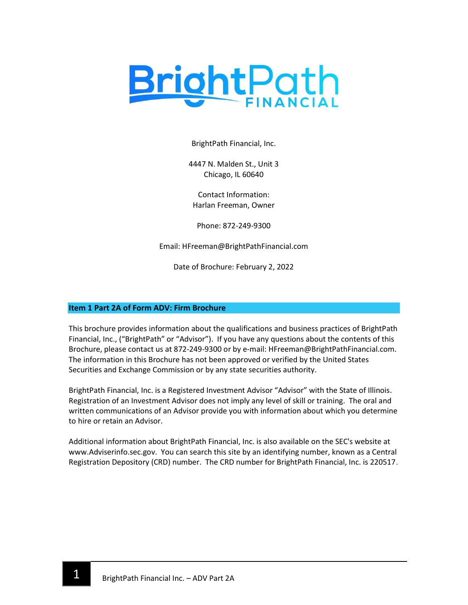

BrightPath Financial, Inc.

4447 N. Malden St., Unit 3 Chicago, IL 60640

Contact Information: Harlan Freeman, Owner

Phone: 872-249-9300

Email: HFreeman@BrightPathFinancial.com

Date of Brochure: February 2, 2022

## Item 1 Part 2A of Form ADV: Firm Brochure

This brochure provides information about the qualifications and business practices of BrightPath Financial, Inc., ("BrightPath" or "Advisor"). If you have any questions about the contents of this Brochure, please contact us at 872-249-9300 or by e-mail: HFreeman@BrightPathFinancial.com. The information in this Brochure has not been approved or verified by the United States Securities and Exchange Commission or by any state securities authority.

BrightPath Financial, Inc. is a Registered Investment Advisor "Advisor" with the State of Illinois. Registration of an Investment Advisor does not imply any level of skill or training. The oral and written communications of an Advisor provide you with information about which you determine to hire or retain an Advisor.

Additional information about BrightPath Financial, Inc. is also available on the SEC's website at www.Adviserinfo.sec.gov. You can search this site by an identifying number, known as a Central Registration Depository (CRD) number. The CRD number for BrightPath Financial, Inc. is 220517.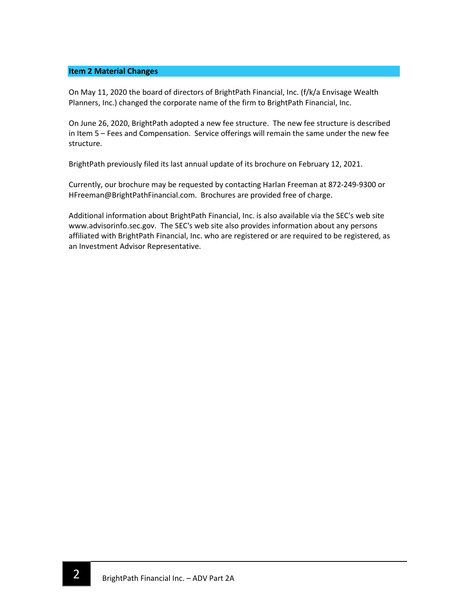### Item 2 Material Changes

On May 11, 2020 the board of directors of BrightPath Financial, Inc. (f/k/a Envisage Wealth Planners, Inc.) changed the corporate name of the firm to BrightPath Financial, Inc.

On June 26, 2020, BrightPath adopted a new fee structure. The new fee structure is described in Item 5 – Fees and Compensation. Service offerings will remain the same under the new fee structure.

BrightPath previously filed its last annual update of its brochure on February 12, 2021.

Currently, our brochure may be requested by contacting Harlan Freeman at 872-249-9300 or HFreeman@BrightPathFinancial.com. Brochures are provided free of charge.

Additional information about BrightPath Financial, Inc. is also available via the SEC's web site www.advisorinfo.sec.gov. The SEC's web site also provides information about any persons affiliated with BrightPath Financial, Inc. who are registered or are required to be registered, as an Investment Advisor Representative.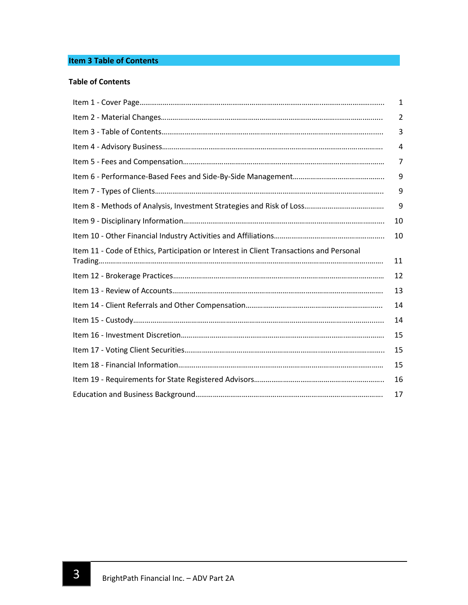# Item 3 Table of Contents

## Table of Contents

|                                                                                         | 1  |
|-----------------------------------------------------------------------------------------|----|
|                                                                                         | 2  |
|                                                                                         | 3  |
|                                                                                         | 4  |
|                                                                                         | 7  |
|                                                                                         | 9  |
|                                                                                         | 9  |
|                                                                                         | 9  |
|                                                                                         | 10 |
|                                                                                         | 10 |
| Item 11 - Code of Ethics, Participation or Interest in Client Transactions and Personal |    |
|                                                                                         | 11 |
|                                                                                         | 12 |
|                                                                                         | 13 |
|                                                                                         | 14 |
|                                                                                         | 14 |
|                                                                                         | 15 |
|                                                                                         | 15 |
|                                                                                         | 15 |
|                                                                                         | 16 |
|                                                                                         | 17 |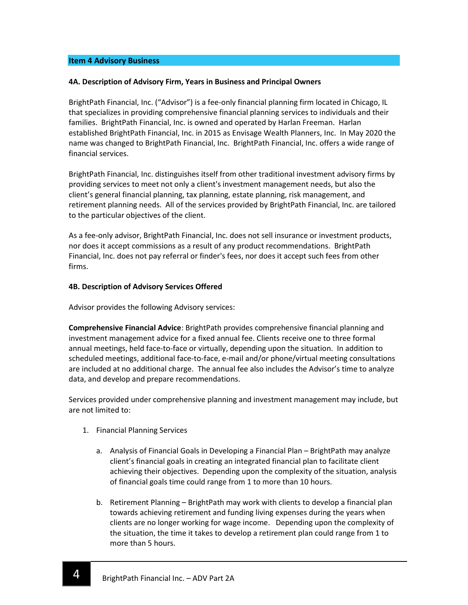### Item 4 Advisory Business

### 4A. Description of Advisory Firm, Years in Business and Principal Owners

BrightPath Financial, Inc. ("Advisor") is a fee-only financial planning firm located in Chicago, IL that specializes in providing comprehensive financial planning services to individuals and their families. BrightPath Financial, Inc. is owned and operated by Harlan Freeman. Harlan established BrightPath Financial, Inc. in 2015 as Envisage Wealth Planners, Inc. In May 2020 the name was changed to BrightPath Financial, Inc. BrightPath Financial, Inc. offers a wide range of financial services.

BrightPath Financial, Inc. distinguishes itself from other traditional investment advisory firms by providing services to meet not only a client's investment management needs, but also the client's general financial planning, tax planning, estate planning, risk management, and retirement planning needs. All of the services provided by BrightPath Financial, Inc. are tailored to the particular objectives of the client.

As a fee-only advisor, BrightPath Financial, Inc. does not sell insurance or investment products, nor does it accept commissions as a result of any product recommendations. BrightPath Financial, Inc. does not pay referral or finder's fees, nor does it accept such fees from other firms.

### 4B. Description of Advisory Services Offered

Advisor provides the following Advisory services:

Comprehensive Financial Advice: BrightPath provides comprehensive financial planning and investment management advice for a fixed annual fee. Clients receive one to three formal annual meetings, held face-to-face or virtually, depending upon the situation. In addition to scheduled meetings, additional face-to-face, e-mail and/or phone/virtual meeting consultations are included at no additional charge. The annual fee also includes the Advisor's time to analyze data, and develop and prepare recommendations.

Services provided under comprehensive planning and investment management may include, but are not limited to:

1. Financial Planning Services

- a. Analysis of Financial Goals in Developing a Financial Plan BrightPath may analyze client's financial goals in creating an integrated financial plan to facilitate client achieving their objectives. Depending upon the complexity of the situation, analysis of financial goals time could range from 1 to more than 10 hours.
- b. Retirement Planning BrightPath may work with clients to develop a financial plan towards achieving retirement and funding living expenses during the years when clients are no longer working for wage income. Depending upon the complexity of the situation, the time it takes to develop a retirement plan could range from 1 to more than 5 hours.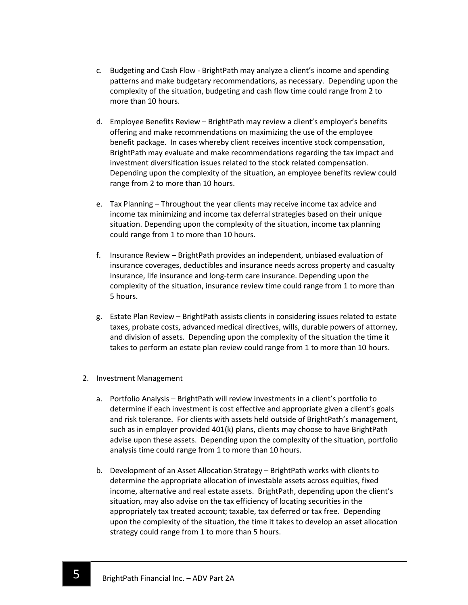- c. Budgeting and Cash Flow BrightPath may analyze a client's income and spending patterns and make budgetary recommendations, as necessary. Depending upon the complexity of the situation, budgeting and cash flow time could range from 2 to more than 10 hours.
- d. Employee Benefits Review BrightPath may review a client's employer's benefits offering and make recommendations on maximizing the use of the employee benefit package. In cases whereby client receives incentive stock compensation, BrightPath may evaluate and make recommendations regarding the tax impact and investment diversification issues related to the stock related compensation. Depending upon the complexity of the situation, an employee benefits review could range from 2 to more than 10 hours.
- e. Tax Planning Throughout the year clients may receive income tax advice and income tax minimizing and income tax deferral strategies based on their unique situation. Depending upon the complexity of the situation, income tax planning could range from 1 to more than 10 hours.
- f. Insurance Review BrightPath provides an independent, unbiased evaluation of insurance coverages, deductibles and insurance needs across property and casualty insurance, life insurance and long-term care insurance. Depending upon the complexity of the situation, insurance review time could range from 1 to more than 5 hours.
- g. Estate Plan Review BrightPath assists clients in considering issues related to estate taxes, probate costs, advanced medical directives, wills, durable powers of attorney, and division of assets. Depending upon the complexity of the situation the time it takes to perform an estate plan review could range from 1 to more than 10 hours.
- 2. Investment Management
	- a. Portfolio Analysis BrightPath will review investments in a client's portfolio to determine if each investment is cost effective and appropriate given a client's goals and risk tolerance. For clients with assets held outside of BrightPath's management, such as in employer provided 401(k) plans, clients may choose to have BrightPath advise upon these assets. Depending upon the complexity of the situation, portfolio analysis time could range from 1 to more than 10 hours.
	- b. Development of an Asset Allocation Strategy BrightPath works with clients to determine the appropriate allocation of investable assets across equities, fixed income, alternative and real estate assets. BrightPath, depending upon the client's situation, may also advise on the tax efficiency of locating securities in the appropriately tax treated account; taxable, tax deferred or tax free. Depending upon the complexity of the situation, the time it takes to develop an asset allocation strategy could range from 1 to more than 5 hours.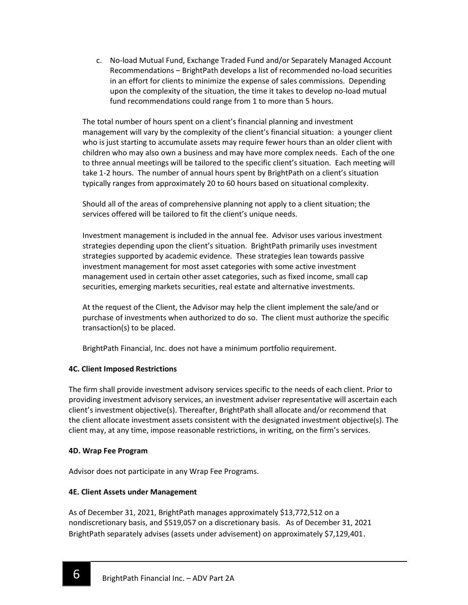c. No-load Mutual Fund, Exchange Traded Fund and/or Separately Managed Account Recommendations – BrightPath develops a list of recommended no-load securities in an effort for clients to minimize the expense of sales commissions. Depending upon the complexity of the situation, the time it takes to develop no-load mutual fund recommendations could range from 1 to more than 5 hours.

The total number of hours spent on a client's financial planning and investment management will vary by the complexity of the client's financial situation: a younger client who is just starting to accumulate assets may require fewer hours than an older client with children who may also own a business and may have more complex needs. Each of the one to three annual meetings will be tailored to the specific client's situation. Each meeting will take 1-2 hours. The number of annual hours spent by BrightPath on a client's situation typically ranges from approximately 20 to 60 hours based on situational complexity.

Should all of the areas of comprehensive planning not apply to a client situation; the services offered will be tailored to fit the client's unique needs.

Investment management is included in the annual fee. Advisor uses various investment strategies depending upon the client's situation. BrightPath primarily uses investment strategies supported by academic evidence. These strategies lean towards passive investment management for most asset categories with some active investment management used in certain other asset categories, such as fixed income, small cap securities, emerging markets securities, real estate and alternative investments.

At the request of the Client, the Advisor may help the client implement the sale/and or purchase of investments when authorized to do so. The client must authorize the specific transaction(s) to be placed.

BrightPath Financial, Inc. does not have a minimum portfolio requirement.

# 4C. Client Imposed Restrictions

The firm shall provide investment advisory services specific to the needs of each client. Prior to providing investment advisory services, an investment adviser representative will ascertain each client's investment objective(s). Thereafter, BrightPath shall allocate and/or recommend that the client allocate investment assets consistent with the designated investment objective(s). The client may, at any time, impose reasonable restrictions, in writing, on the firm's services.

# 4D. Wrap Fee Program

ī

Advisor does not participate in any Wrap Fee Programs.

# 4E. Client Assets under Management

As of December 31, 2021, BrightPath manages approximately \$13,772,512 on a nondiscretionary basis, and \$519,057 on a discretionary basis. As of December 31, 2021 BrightPath separately advises (assets under advisement) on approximately \$7,129,401.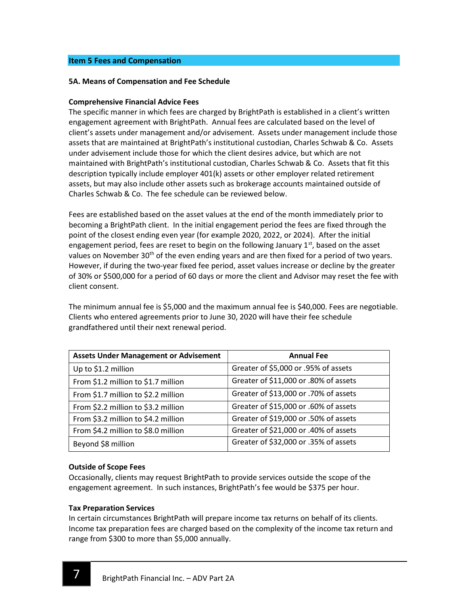### Item 5 Fees and Compensation

### 5A. Means of Compensation and Fee Schedule

### Comprehensive Financial Advice Fees

The specific manner in which fees are charged by BrightPath is established in a client's written engagement agreement with BrightPath. Annual fees are calculated based on the level of client's assets under management and/or advisement. Assets under management include those assets that are maintained at BrightPath's institutional custodian, Charles Schwab & Co. Assets under advisement include those for which the client desires advice, but which are not maintained with BrightPath's institutional custodian, Charles Schwab & Co. Assets that fit this description typically include employer 401(k) assets or other employer related retirement assets, but may also include other assets such as brokerage accounts maintained outside of Charles Schwab & Co. The fee schedule can be reviewed below.

Fees are established based on the asset values at the end of the month immediately prior to becoming a BrightPath client. In the initial engagement period the fees are fixed through the point of the closest ending even year (for example 2020, 2022, or 2024). After the initial engagement period, fees are reset to begin on the following January  $1<sup>st</sup>$ , based on the asset values on November 30<sup>th</sup> of the even ending years and are then fixed for a period of two years. However, if during the two-year fixed fee period, asset values increase or decline by the greater of 30% or \$500,000 for a period of 60 days or more the client and Advisor may reset the fee with client consent.

The minimum annual fee is \$5,000 and the maximum annual fee is \$40,000. Fees are negotiable. Clients who entered agreements prior to June 30, 2020 will have their fee schedule grandfathered until their next renewal period.

| <b>Assets Under Management or Advisement</b> | <b>Annual Fee</b>                     |
|----------------------------------------------|---------------------------------------|
| Up to \$1.2 million                          | Greater of \$5,000 or .95% of assets  |
| From \$1.2 million to \$1.7 million          | Greater of \$11,000 or .80% of assets |
| From \$1.7 million to \$2.2 million          | Greater of \$13,000 or .70% of assets |
| From \$2.2 million to \$3.2 million          | Greater of \$15,000 or .60% of assets |
| From \$3.2 million to \$4.2 million          | Greater of \$19,000 or .50% of assets |
| From \$4.2 million to \$8.0 million          | Greater of \$21,000 or .40% of assets |
| Beyond \$8 million                           | Greater of \$32,000 or .35% of assets |

### Outside of Scope Fees

Occasionally, clients may request BrightPath to provide services outside the scope of the engagement agreement. In such instances, BrightPath's fee would be \$375 per hour.

### Tax Preparation Services

In certain circumstances BrightPath will prepare income tax returns on behalf of its clients. Income tax preparation fees are charged based on the complexity of the income tax return and range from \$300 to more than \$5,000 annually.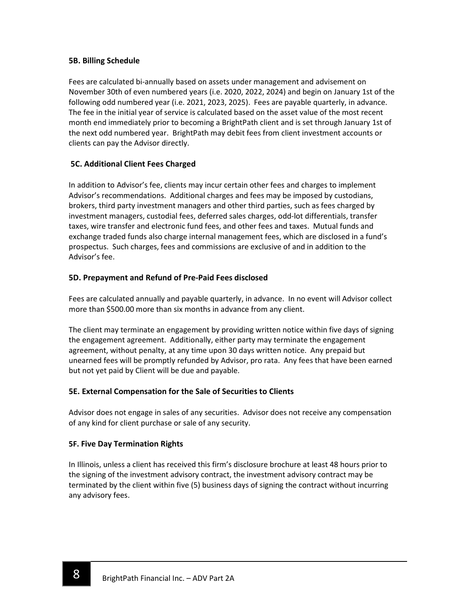## 5B. Billing Schedule

Fees are calculated bi-annually based on assets under management and advisement on November 30th of even numbered years (i.e. 2020, 2022, 2024) and begin on January 1st of the following odd numbered year (i.e. 2021, 2023, 2025). Fees are payable quarterly, in advance. The fee in the initial year of service is calculated based on the asset value of the most recent month end immediately prior to becoming a BrightPath client and is set through January 1st of the next odd numbered year. BrightPath may debit fees from client investment accounts or clients can pay the Advisor directly.

# 5C. Additional Client Fees Charged

In addition to Advisor's fee, clients may incur certain other fees and charges to implement Advisor's recommendations. Additional charges and fees may be imposed by custodians, brokers, third party investment managers and other third parties, such as fees charged by investment managers, custodial fees, deferred sales charges, odd-lot differentials, transfer taxes, wire transfer and electronic fund fees, and other fees and taxes. Mutual funds and exchange traded funds also charge internal management fees, which are disclosed in a fund's prospectus. Such charges, fees and commissions are exclusive of and in addition to the Advisor's fee.

# 5D. Prepayment and Refund of Pre-Paid Fees disclosed

Fees are calculated annually and payable quarterly, in advance. In no event will Advisor collect more than \$500.00 more than six months in advance from any client.

The client may terminate an engagement by providing written notice within five days of signing the engagement agreement. Additionally, either party may terminate the engagement agreement, without penalty, at any time upon 30 days written notice. Any prepaid but unearned fees will be promptly refunded by Advisor, pro rata. Any fees that have been earned but not yet paid by Client will be due and payable.

# 5E. External Compensation for the Sale of Securities to Clients

Advisor does not engage in sales of any securities. Advisor does not receive any compensation of any kind for client purchase or sale of any security.

## 5F. Five Day Termination Rights

ī

In Illinois, unless a client has received this firm's disclosure brochure at least 48 hours prior to the signing of the investment advisory contract, the investment advisory contract may be terminated by the client within five (5) business days of signing the contract without incurring any advisory fees.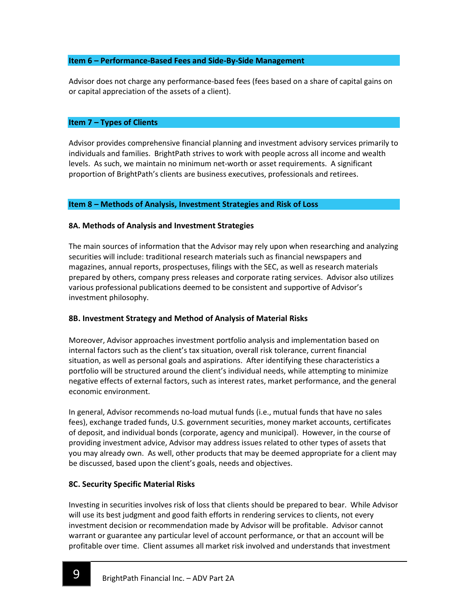### Item 6 – Performance-Based Fees and Side-By-Side Management

Advisor does not charge any performance-based fees (fees based on a share of capital gains on or capital appreciation of the assets of a client).

### Item 7 – Types of Clients

Advisor provides comprehensive financial planning and investment advisory services primarily to individuals and families. BrightPath strives to work with people across all income and wealth levels. As such, we maintain no minimum net-worth or asset requirements. A significant proportion of BrightPath's clients are business executives, professionals and retirees.

### Item 8 – Methods of Analysis, Investment Strategies and Risk of Loss

### 8A. Methods of Analysis and Investment Strategies

The main sources of information that the Advisor may rely upon when researching and analyzing securities will include: traditional research materials such as financial newspapers and magazines, annual reports, prospectuses, filings with the SEC, as well as research materials prepared by others, company press releases and corporate rating services. Advisor also utilizes various professional publications deemed to be consistent and supportive of Advisor's investment philosophy.

## 8B. Investment Strategy and Method of Analysis of Material Risks

Moreover, Advisor approaches investment portfolio analysis and implementation based on internal factors such as the client's tax situation, overall risk tolerance, current financial situation, as well as personal goals and aspirations. After identifying these characteristics a portfolio will be structured around the client's individual needs, while attempting to minimize negative effects of external factors, such as interest rates, market performance, and the general economic environment.

In general, Advisor recommends no-load mutual funds (i.e., mutual funds that have no sales fees), exchange traded funds, U.S. government securities, money market accounts, certificates of deposit, and individual bonds (corporate, agency and municipal). However, in the course of providing investment advice, Advisor may address issues related to other types of assets that you may already own. As well, other products that may be deemed appropriate for a client may be discussed, based upon the client's goals, needs and objectives.

## 8C. Security Specific Material Risks

ī

Investing in securities involves risk of loss that clients should be prepared to bear. While Advisor will use its best judgment and good faith efforts in rendering services to clients, not every investment decision or recommendation made by Advisor will be profitable. Advisor cannot warrant or guarantee any particular level of account performance, or that an account will be profitable over time. Client assumes all market risk involved and understands that investment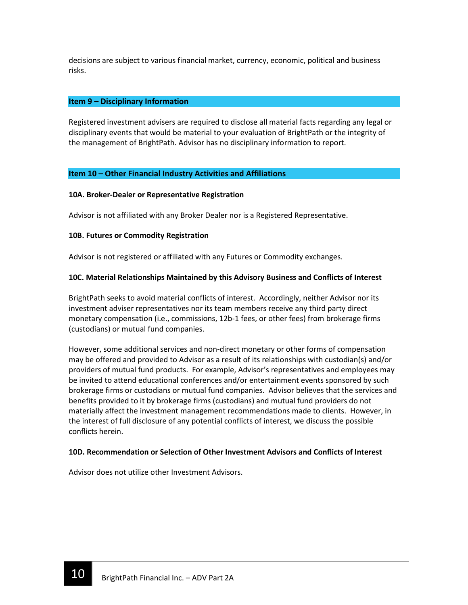decisions are subject to various financial market, currency, economic, political and business risks.

### Item 9 – Disciplinary Information

Registered investment advisers are required to disclose all material facts regarding any legal or disciplinary events that would be material to your evaluation of BrightPath or the integrity of the management of BrightPath. Advisor has no disciplinary information to report.

## Item 10 – Other Financial Industry Activities and Affiliations

### 10A. Broker-Dealer or Representative Registration

Advisor is not affiliated with any Broker Dealer nor is a Registered Representative.

### 10B. Futures or Commodity Registration

Advisor is not registered or affiliated with any Futures or Commodity exchanges.

### 10C. Material Relationships Maintained by this Advisory Business and Conflicts of Interest

BrightPath seeks to avoid material conflicts of interest. Accordingly, neither Advisor nor its investment adviser representatives nor its team members receive any third party direct monetary compensation (i.e., commissions, 12b-1 fees, or other fees) from brokerage firms (custodians) or mutual fund companies.

However, some additional services and non-direct monetary or other forms of compensation may be offered and provided to Advisor as a result of its relationships with custodian(s) and/or providers of mutual fund products. For example, Advisor's representatives and employees may be invited to attend educational conferences and/or entertainment events sponsored by such brokerage firms or custodians or mutual fund companies. Advisor believes that the services and benefits provided to it by brokerage firms (custodians) and mutual fund providers do not materially affect the investment management recommendations made to clients. However, in the interest of full disclosure of any potential conflicts of interest, we discuss the possible conflicts herein.

### 10D. Recommendation or Selection of Other Investment Advisors and Conflicts of Interest

Advisor does not utilize other Investment Advisors.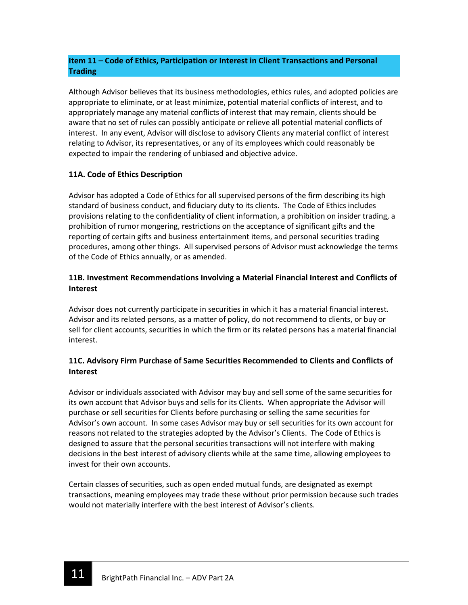# Item 11 – Code of Ethics, Participation or Interest in Client Transactions and Personal **Trading**

Although Advisor believes that its business methodologies, ethics rules, and adopted policies are appropriate to eliminate, or at least minimize, potential material conflicts of interest, and to appropriately manage any material conflicts of interest that may remain, clients should be aware that no set of rules can possibly anticipate or relieve all potential material conflicts of interest. In any event, Advisor will disclose to advisory Clients any material conflict of interest relating to Advisor, its representatives, or any of its employees which could reasonably be expected to impair the rendering of unbiased and objective advice.

# 11A. Code of Ethics Description

Advisor has adopted a Code of Ethics for all supervised persons of the firm describing its high standard of business conduct, and fiduciary duty to its clients. The Code of Ethics includes provisions relating to the confidentiality of client information, a prohibition on insider trading, a prohibition of rumor mongering, restrictions on the acceptance of significant gifts and the reporting of certain gifts and business entertainment items, and personal securities trading procedures, among other things. All supervised persons of Advisor must acknowledge the terms of the Code of Ethics annually, or as amended.

# 11B. Investment Recommendations Involving a Material Financial Interest and Conflicts of Interest

Advisor does not currently participate in securities in which it has a material financial interest. Advisor and its related persons, as a matter of policy, do not recommend to clients, or buy or sell for client accounts, securities in which the firm or its related persons has a material financial interest.

# 11C. Advisory Firm Purchase of Same Securities Recommended to Clients and Conflicts of Interest

Advisor or individuals associated with Advisor may buy and sell some of the same securities for its own account that Advisor buys and sells for its Clients. When appropriate the Advisor will purchase or sell securities for Clients before purchasing or selling the same securities for Advisor's own account. In some cases Advisor may buy or sell securities for its own account for reasons not related to the strategies adopted by the Advisor's Clients. The Code of Ethics is designed to assure that the personal securities transactions will not interfere with making decisions in the best interest of advisory clients while at the same time, allowing employees to invest for their own accounts.

Certain classes of securities, such as open ended mutual funds, are designated as exempt transactions, meaning employees may trade these without prior permission because such trades would not materially interfere with the best interest of Advisor's clients.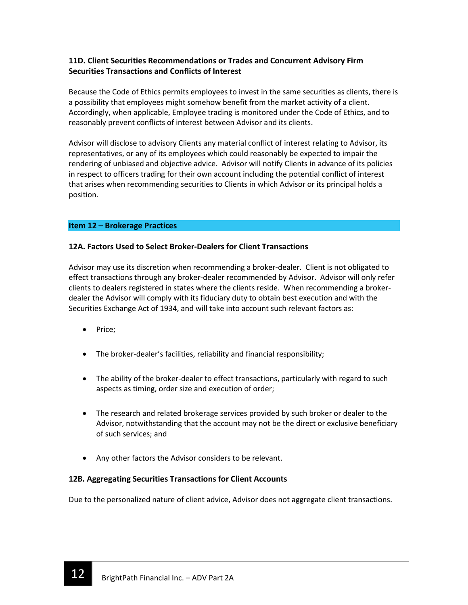# 11D. Client Securities Recommendations or Trades and Concurrent Advisory Firm Securities Transactions and Conflicts of Interest

Because the Code of Ethics permits employees to invest in the same securities as clients, there is a possibility that employees might somehow benefit from the market activity of a client. Accordingly, when applicable, Employee trading is monitored under the Code of Ethics, and to reasonably prevent conflicts of interest between Advisor and its clients.

Advisor will disclose to advisory Clients any material conflict of interest relating to Advisor, its representatives, or any of its employees which could reasonably be expected to impair the rendering of unbiased and objective advice. Advisor will notify Clients in advance of its policies in respect to officers trading for their own account including the potential conflict of interest that arises when recommending securities to Clients in which Advisor or its principal holds a position.

## Item 12 – Brokerage Practices

## 12A. Factors Used to Select Broker-Dealers for Client Transactions

Advisor may use its discretion when recommending a broker-dealer. Client is not obligated to effect transactions through any broker-dealer recommended by Advisor. Advisor will only refer clients to dealers registered in states where the clients reside. When recommending a brokerdealer the Advisor will comply with its fiduciary duty to obtain best execution and with the Securities Exchange Act of 1934, and will take into account such relevant factors as:

- Price;
- The broker-dealer's facilities, reliability and financial responsibility;
- The ability of the broker-dealer to effect transactions, particularly with regard to such aspects as timing, order size and execution of order;
- The research and related brokerage services provided by such broker or dealer to the Advisor, notwithstanding that the account may not be the direct or exclusive beneficiary of such services; and
- Any other factors the Advisor considers to be relevant.

## 12B. Aggregating Securities Transactions for Client Accounts

Due to the personalized nature of client advice, Advisor does not aggregate client transactions.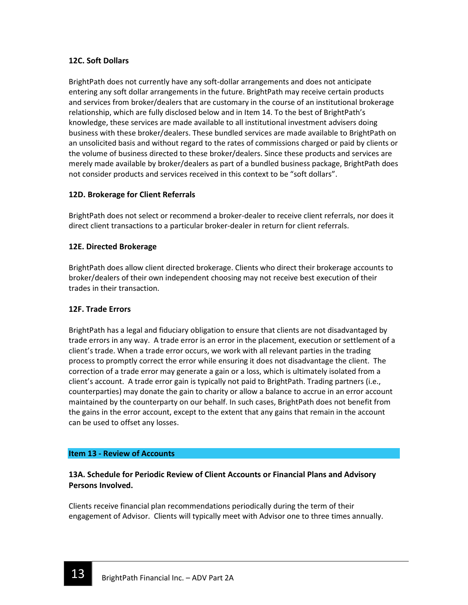## 12C. Soft Dollars

BrightPath does not currently have any soft-dollar arrangements and does not anticipate entering any soft dollar arrangements in the future. BrightPath may receive certain products and services from broker/dealers that are customary in the course of an institutional brokerage relationship, which are fully disclosed below and in Item 14. To the best of BrightPath's knowledge, these services are made available to all institutional investment advisers doing business with these broker/dealers. These bundled services are made available to BrightPath on an unsolicited basis and without regard to the rates of commissions charged or paid by clients or the volume of business directed to these broker/dealers. Since these products and services are merely made available by broker/dealers as part of a bundled business package, BrightPath does not consider products and services received in this context to be "soft dollars".

## 12D. Brokerage for Client Referrals

BrightPath does not select or recommend a broker-dealer to receive client referrals, nor does it direct client transactions to a particular broker-dealer in return for client referrals.

## 12E. Directed Brokerage

BrightPath does allow client directed brokerage. Clients who direct their brokerage accounts to broker/dealers of their own independent choosing may not receive best execution of their trades in their transaction.

## 12F. Trade Errors

BrightPath has a legal and fiduciary obligation to ensure that clients are not disadvantaged by trade errors in any way. A trade error is an error in the placement, execution or settlement of a client's trade. When a trade error occurs, we work with all relevant parties in the trading process to promptly correct the error while ensuring it does not disadvantage the client. The correction of a trade error may generate a gain or a loss, which is ultimately isolated from a client's account. A trade error gain is typically not paid to BrightPath. Trading partners (i.e., counterparties) may donate the gain to charity or allow a balance to accrue in an error account maintained by the counterparty on our behalf. In such cases, BrightPath does not benefit from the gains in the error account, except to the extent that any gains that remain in the account can be used to offset any losses.

### Item 13 - Review of Accounts

# 13A. Schedule for Periodic Review of Client Accounts or Financial Plans and Advisory Persons Involved.

Clients receive financial plan recommendations periodically during the term of their engagement of Advisor. Clients will typically meet with Advisor one to three times annually.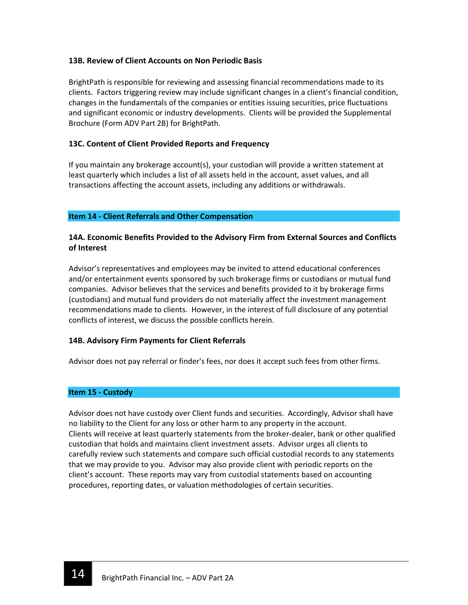## 13B. Review of Client Accounts on Non Periodic Basis

BrightPath is responsible for reviewing and assessing financial recommendations made to its clients. Factors triggering review may include significant changes in a client's financial condition, changes in the fundamentals of the companies or entities issuing securities, price fluctuations and significant economic or industry developments. Clients will be provided the Supplemental Brochure (Form ADV Part 2B) for BrightPath.

## 13C. Content of Client Provided Reports and Frequency

If you maintain any brokerage account(s), your custodian will provide a written statement at least quarterly which includes a list of all assets held in the account, asset values, and all transactions affecting the account assets, including any additions or withdrawals.

## Item 14 - Client Referrals and Other Compensation

## 14A. Economic Benefits Provided to the Advisory Firm from External Sources and Conflicts of Interest

Advisor's representatives and employees may be invited to attend educational conferences and/or entertainment events sponsored by such brokerage firms or custodians or mutual fund companies. Advisor believes that the services and benefits provided to it by brokerage firms (custodians) and mutual fund providers do not materially affect the investment management recommendations made to clients. However, in the interest of full disclosure of any potential conflicts of interest, we discuss the possible conflicts herein.

## 14B. Advisory Firm Payments for Client Referrals

Advisor does not pay referral or finder's fees, nor does it accept such fees from other firms.

## Item 15 - Custody

Advisor does not have custody over Client funds and securities. Accordingly, Advisor shall have no liability to the Client for any loss or other harm to any property in the account. Clients will receive at least quarterly statements from the broker-dealer, bank or other qualified custodian that holds and maintains client investment assets. Advisor urges all clients to carefully review such statements and compare such official custodial records to any statements that we may provide to you. Advisor may also provide client with periodic reports on the client's account. These reports may vary from custodial statements based on accounting procedures, reporting dates, or valuation methodologies of certain securities.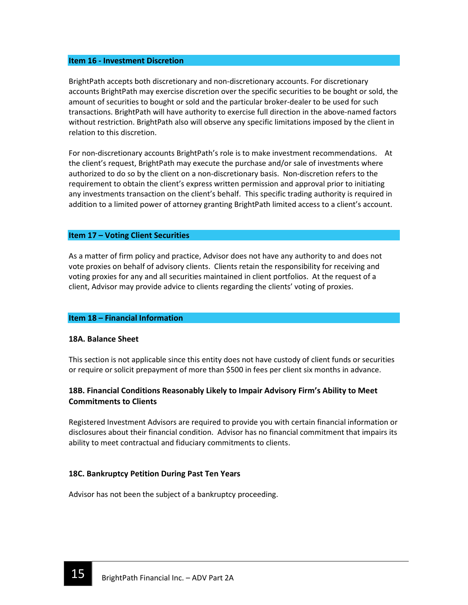#### Item 16 - Investment Discretion

BrightPath accepts both discretionary and non-discretionary accounts. For discretionary accounts BrightPath may exercise discretion over the specific securities to be bought or sold, the amount of securities to bought or sold and the particular broker-dealer to be used for such transactions. BrightPath will have authority to exercise full direction in the above-named factors without restriction. BrightPath also will observe any specific limitations imposed by the client in relation to this discretion.

For non-discretionary accounts BrightPath's role is to make investment recommendations. At the client's request, BrightPath may execute the purchase and/or sale of investments where authorized to do so by the client on a non-discretionary basis. Non-discretion refers to the requirement to obtain the client's express written permission and approval prior to initiating any investments transaction on the client's behalf. This specific trading authority is required in addition to a limited power of attorney granting BrightPath limited access to a client's account.

### Item 17 – Voting Client Securities

As a matter of firm policy and practice, Advisor does not have any authority to and does not vote proxies on behalf of advisory clients. Clients retain the responsibility for receiving and voting proxies for any and all securities maintained in client portfolios. At the request of a client, Advisor may provide advice to clients regarding the clients' voting of proxies.

### Item 18 – Financial Information

### 18A. Balance Sheet

This section is not applicable since this entity does not have custody of client funds or securities or require or solicit prepayment of more than \$500 in fees per client six months in advance.

## 18B. Financial Conditions Reasonably Likely to Impair Advisory Firm's Ability to Meet Commitments to Clients

Registered Investment Advisors are required to provide you with certain financial information or disclosures about their financial condition. Advisor has no financial commitment that impairs its ability to meet contractual and fiduciary commitments to clients.

### 18C. Bankruptcy Petition During Past Ten Years

Advisor has not been the subject of a bankruptcy proceeding.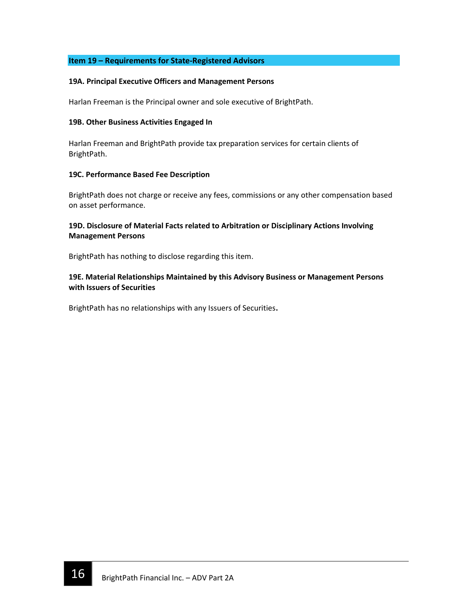## Item 19 – Requirements for State-Registered Advisors

#### 19A. Principal Executive Officers and Management Persons

Harlan Freeman is the Principal owner and sole executive of BrightPath.

#### 19B. Other Business Activities Engaged In

Harlan Freeman and BrightPath provide tax preparation services for certain clients of BrightPath.

### 19C. Performance Based Fee Description

BrightPath does not charge or receive any fees, commissions or any other compensation based on asset performance.

## 19D. Disclosure of Material Facts related to Arbitration or Disciplinary Actions Involving Management Persons

BrightPath has nothing to disclose regarding this item.

## 19E. Material Relationships Maintained by this Advisory Business or Management Persons with Issuers of Securities

BrightPath has no relationships with any Issuers of Securities.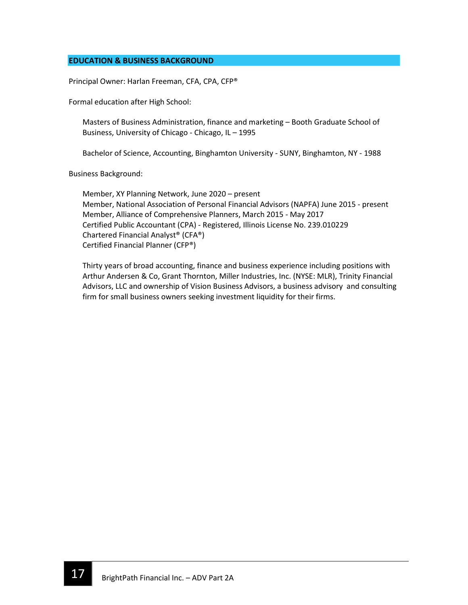## EDUCATION & BUSINESS BACKGROUND

Principal Owner: Harlan Freeman, CFA, CPA, CFP®

Formal education after High School:

Masters of Business Administration, finance and marketing – Booth Graduate School of Business, University of Chicago - Chicago, IL – 1995

Bachelor of Science, Accounting, Binghamton University - SUNY, Binghamton, NY - 1988

Business Background:

Member, XY Planning Network, June 2020 – present Member, National Association of Personal Financial Advisors (NAPFA) June 2015 - present Member, Alliance of Comprehensive Planners, March 2015 - May 2017 Certified Public Accountant (CPA) - Registered, Illinois License No. 239.010229 Chartered Financial Analyst® (CFA®) Certified Financial Planner (CFP®)

Thirty years of broad accounting, finance and business experience including positions with Arthur Andersen & Co, Grant Thornton, Miller Industries, Inc. (NYSE: MLR), Trinity Financial Advisors, LLC and ownership of Vision Business Advisors, a business advisory and consulting firm for small business owners seeking investment liquidity for their firms.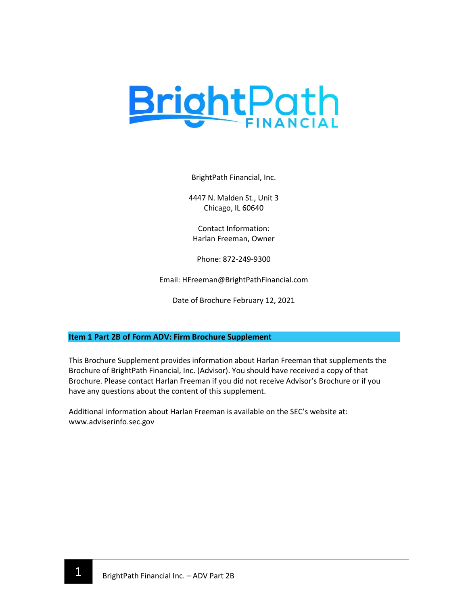

BrightPath Financial, Inc.

4447 N. Malden St., Unit 3 Chicago, IL 60640

Contact Information: Harlan Freeman, Owner

Phone: 872-249-9300

Email: HFreeman@BrightPathFinancial.com

Date of Brochure February 12, 2021

## Item 1 Part 2B of Form ADV: Firm Brochure Supplement

This Brochure Supplement provides information about Harlan Freeman that supplements the Brochure of BrightPath Financial, Inc. (Advisor). You should have received a copy of that Brochure. Please contact Harlan Freeman if you did not receive Advisor's Brochure or if you have any questions about the content of this supplement.

Additional information about Harlan Freeman is available on the SEC's website at: www.adviserinfo.sec.gov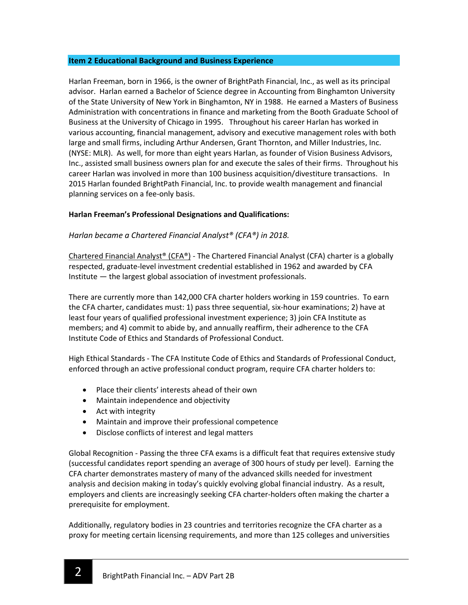### Item 2 Educational Background and Business Experience

Harlan Freeman, born in 1966, is the owner of BrightPath Financial, Inc., as well as its principal advisor. Harlan earned a Bachelor of Science degree in Accounting from Binghamton University of the State University of New York in Binghamton, NY in 1988. He earned a Masters of Business Administration with concentrations in finance and marketing from the Booth Graduate School of Business at the University of Chicago in 1995. Throughout his career Harlan has worked in various accounting, financial management, advisory and executive management roles with both large and small firms, including Arthur Andersen, Grant Thornton, and Miller Industries, Inc. (NYSE: MLR). As well, for more than eight years Harlan, as founder of Vision Business Advisors, Inc., assisted small business owners plan for and execute the sales of their firms. Throughout his career Harlan was involved in more than 100 business acquisition/divestiture transactions. In 2015 Harlan founded BrightPath Financial, Inc. to provide wealth management and financial planning services on a fee-only basis.

## Harlan Freeman's Professional Designations and Qualifications:

## Harlan became a Chartered Financial Analyst® (CFA®) in 2018.

Chartered Financial Analyst® (CFA®) - The Chartered Financial Analyst (CFA) charter is a globally respected, graduate-level investment credential established in 1962 and awarded by CFA Institute — the largest global association of investment professionals.

There are currently more than 142,000 CFA charter holders working in 159 countries. To earn the CFA charter, candidates must: 1) pass three sequential, six-hour examinations; 2) have at least four years of qualified professional investment experience; 3) join CFA Institute as members; and 4) commit to abide by, and annually reaffirm, their adherence to the CFA Institute Code of Ethics and Standards of Professional Conduct.

High Ethical Standards - The CFA Institute Code of Ethics and Standards of Professional Conduct, enforced through an active professional conduct program, require CFA charter holders to:

- Place their clients' interests ahead of their own
- Maintain independence and objectivity
- Act with integrity
- Maintain and improve their professional competence
- Disclose conflicts of interest and legal matters

Global Recognition - Passing the three CFA exams is a difficult feat that requires extensive study (successful candidates report spending an average of 300 hours of study per level). Earning the CFA charter demonstrates mastery of many of the advanced skills needed for investment analysis and decision making in today's quickly evolving global financial industry. As a result, employers and clients are increasingly seeking CFA charter-holders often making the charter a prerequisite for employment.

Additionally, regulatory bodies in 23 countries and territories recognize the CFA charter as a proxy for meeting certain licensing requirements, and more than 125 colleges and universities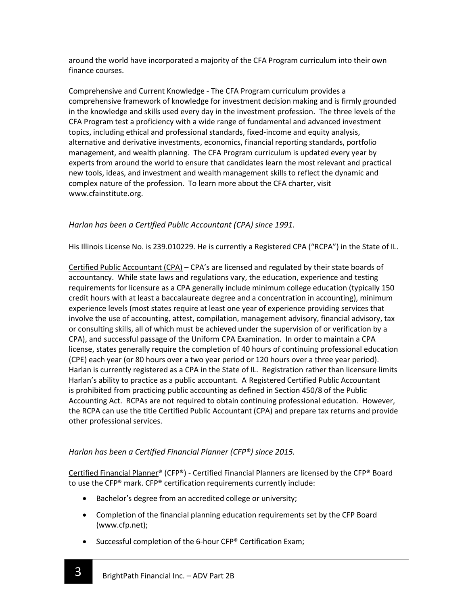around the world have incorporated a majority of the CFA Program curriculum into their own finance courses.

Comprehensive and Current Knowledge - The CFA Program curriculum provides a comprehensive framework of knowledge for investment decision making and is firmly grounded in the knowledge and skills used every day in the investment profession. The three levels of the CFA Program test a proficiency with a wide range of fundamental and advanced investment topics, including ethical and professional standards, fixed-income and equity analysis, alternative and derivative investments, economics, financial reporting standards, portfolio management, and wealth planning. The CFA Program curriculum is updated every year by experts from around the world to ensure that candidates learn the most relevant and practical new tools, ideas, and investment and wealth management skills to reflect the dynamic and complex nature of the profession. To learn more about the CFA charter, visit www.cfainstitute.org.

# Harlan has been a Certified Public Accountant (CPA) since 1991.

His Illinois License No. is 239.010229. He is currently a Registered CPA ("RCPA") in the State of IL.

Certified Public Accountant (CPA) - CPA's are licensed and regulated by their state boards of accountancy. While state laws and regulations vary, the education, experience and testing requirements for licensure as a CPA generally include minimum college education (typically 150 credit hours with at least a baccalaureate degree and a concentration in accounting), minimum experience levels (most states require at least one year of experience providing services that involve the use of accounting, attest, compilation, management advisory, financial advisory, tax or consulting skills, all of which must be achieved under the supervision of or verification by a CPA), and successful passage of the Uniform CPA Examination. In order to maintain a CPA license, states generally require the completion of 40 hours of continuing professional education (CPE) each year (or 80 hours over a two year period or 120 hours over a three year period). Harlan is currently registered as a CPA in the State of IL. Registration rather than licensure limits Harlan's ability to practice as a public accountant. A Registered Certified Public Accountant is prohibited from practicing public accounting as defined in Section 450/8 of the Public Accounting Act. RCPAs are not required to obtain continuing professional education. However, the RCPA can use the title Certified Public Accountant (CPA) and prepare tax returns and provide other professional services.

# Harlan has been a Certified Financial Planner (CFP®) since 2015.

Certified Financial Planner® (CFP®) - Certified Financial Planners are licensed by the CFP® Board to use the CFP® mark. CFP® certification requirements currently include:

- Bachelor's degree from an accredited college or university;
- Completion of the financial planning education requirements set by the CFP Board (www.cfp.net);
- Successful completion of the 6-hour CFP® Certification Exam;